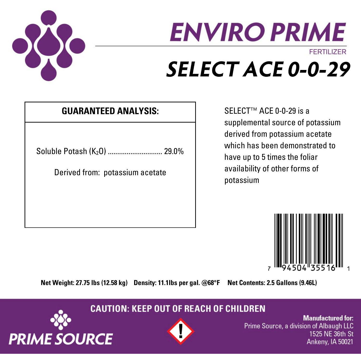

# **ENVIRO PRIME FFRTILIZER SELECT ACE 0-0-29**

### **GUARANTEED ANALYSIS:** SELECT™ ACE 0-0-29 is a

Soluble Potash (K<sub>2</sub>O) .................................. 29.0%

Derived from: potassium acetate

supplemental source of potassium derived from potassium acetate which has been demonstrated to have up to 5 times the foliar availability of other forms of potassium



**Net Weight: 27.75 lbs (12.58 kg) Density: 11.1lbs per gal. @68°F Net Contents: 2.5 Gallons (9.46L)**

**CAUTION: KEEP OUT OF REACH OF CHILDREN** 





**Manufactured for:** Prime Source, a division of Albaugh LLC 1525 NE 36th St Ankeny, IA 50021